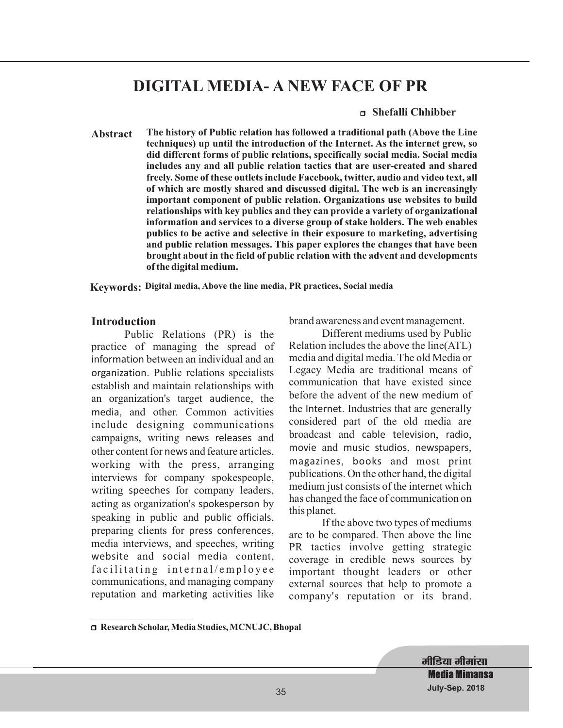# **DIGITAL MEDIA- A NEW FACE OF PR**

#### <sup>r</sup> **Shefalli Chhibber**

**Abstract The history of Public relation has followed a traditional path (Above the Line techniques) up until the introduction of the Internet. As the internet grew, so did different forms of public relations, specifically social media. Social media includes any and all public relation tactics that are user-created and shared freely. Some of these outlets include Facebook, twitter, audio and video text, all of which are mostly shared and discussed digital. The web is an increasingly important component of public relation. Organizations use websites to build relationships with key publics and they can provide a variety of organizational information and services to a diverse group of stake holders. The web enables publics to be active and selective in their exposure to marketing, advertising and public relation messages. This paper explores the changes that have been brought about in the field of public relation with the advent and developments of the digital medium.**

**Keywords: Digital media, Above the line media, PR practices, Social media**

#### **Introduction**

Public Relations (PR) is the practice of managing the spread of information between an individual and an organization. Public relations specialists establish and maintain relationships with an organization's target audience, the media, and other. Common activities include designing communications campaigns, writing news releases and other content for news and feature articles, working with the press, arranging interviews for company spokespeople, writing speeches for company leaders, acting as organization's spokesperson by speaking in public and public officials, preparing clients for press conferences, media interviews, and speeches, writing website and social media content, facilitating internal/employee communications, and managing company reputation and marketing activities like

brand awareness and event management.

Different mediums used by Public Relation includes the above the line(ATL) media and digital media. The old Media or Legacy Media are traditional means of communication that have existed since before the advent of the new medium of the Internet. Industries that are generally considered part of the old media are broadcast and cable television, radio, movie and music studios, newspapers, magazines, books and most print publications. On the other hand, the digital medium just consists of the internet which has changed the face of communication on this planet.

If the above two types of mediums are to be compared. Then above the line PR tactics involve getting strategic coverage in credible news sources by important thought leaders or other external sources that help to promote a company's reputation or its brand.

मीडिया मीमां**सा Media Mimansa July-Sep. 2018**

<sup>r</sup> **Research Scholar, Media Studies, MCNUJC, Bhopal**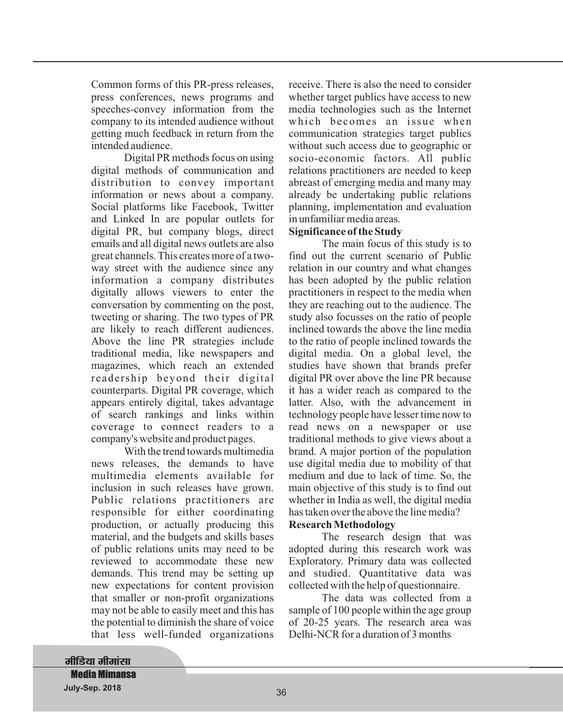Common forms of this PR-press releases, press conferences, news programs and speeches-convey information from the company to its intended audience without getting much feedback in return from the intended audience.

Digital PR methods focus on using digital methods of communication and distribution to convey important information or news about a company. Social platforms like Facebook, Twitter and Linked In are popular outlets for digital PR, but company blogs, direct emails and all digital news outlets are also great channels. This creates more of a twoway street with the audience since any information a company distributes digitally allows viewers to enter the conversation by commenting on the post, tweeting or sharing. The two types of PR are likely to reach different audiences. Above the line PR strategies include traditional media, like newspapers and magazines, which reach an extended readership beyond their digital counterparts. Digital PR coverage, which appears entirely digital, takes advantage of search rankings and links within coverage to connect readers to a company's website and product pages.

With the trend towards multimedia news releases, the demands to have multimedia elements available for inclusion in such releases have grown. Public relations practitioners are responsible for either coordinating production, or actually producing this material, and the budgets and skills bases of public relations units may need to be reviewed to accommodate these new demands. This trend may be setting up new expectations for content provision that smaller or non-profit organizations may not be able to easily meet and this has the potential to diminish the share of voice that less well-funded organizations

receive. There is also the need to consider whether target publics have access to new media technologies such as the Internet which becomes an issue when communication strategies target publics without such access due to geographic or socio-economic factors. All public relations practitioners are needed to keep abreast of emerging media and many may already be undertaking public relations planning, implementation and evaluation in unfamiliar media areas.

#### **Significance of the Study**

The main focus of this study is to find out the current scenario of Public relation in our country and what changes has been adopted by the public relation practitioners in respect to the media when they are reaching out to the audience. The study also focusses on the ratio of people inclined towards the above the line media to the ratio of people inclined towards the digital media. On a global level, the studies have shown that brands prefer digital PR over above the line PR because it has a wider reach as compared to the latter. Also, with the advancement in technology people have lesser time now to read news on a newspaper or use traditional methods to give views about a brand. A major portion of the population use digital media due to mobility of that medium and due to lack of time. So, the main objective of this study is to find out whether in India as well, the digital media has taken over the above the line media?

#### **Research Methodology**

The research design that was adopted during this research work was Exploratory. Primary data was collected and studied. Quantitative data was collected with the help of questionnaire.

The data was collected from a sample of 100 people within the age group of 20-25 years. The research area was Delhi-NCR for a duration of 3 months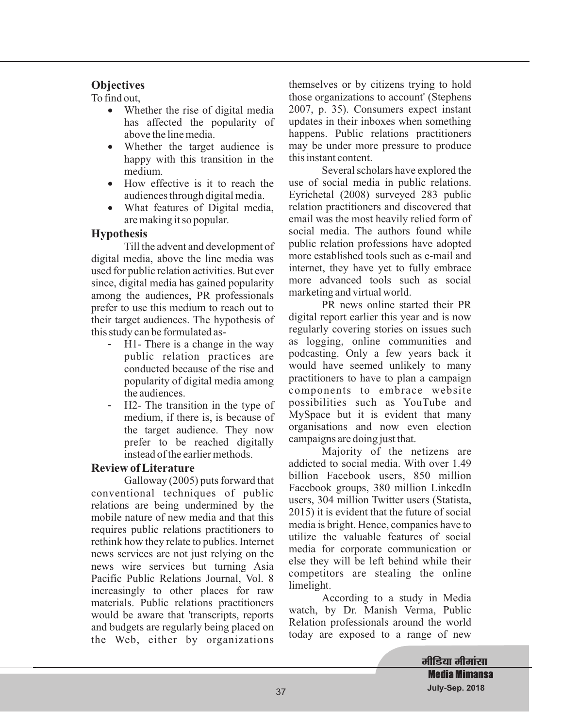# **Objectives**

To find out,

- Whether the rise of digital media has affected the popularity of above the line media. ·
- Whether the target audience is happy with this transition in the medium. ·
- How effective is it to reach the audiences through digital media.
- What features of Digital media, are making it so popular.

# **Hypothesis**

Till the advent and development of digital media, above the line media was used for public relation activities. But ever since, digital media has gained popularity among the audiences, PR professionals prefer to use this medium to reach out to their target audiences. The hypothesis of this study can be formulated as-

- H1- There is a change in the way public relation practices are conducted because of the rise and popularity of digital media among the audiences. -
- H2- The transition in the type of medium, if there is, is because of the target audience. They now prefer to be reached digitally instead of the earlier methods. -

## **Review of Literature**

Galloway (2005) puts forward that conventional techniques of public relations are being undermined by the mobile nature of new media and that this requires public relations practitioners to rethink how they relate to publics. Internet news services are not just relying on the news wire services but turning Asia Pacific Public Relations Journal, Vol. 8 increasingly to other places for raw materials. Public relations practitioners would be aware that 'transcripts, reports and budgets are regularly being placed on the Web, either by organizations

themselves or by citizens trying to hold those organizations to account' (Stephens 2007, p. 35). Consumers expect instant updates in their inboxes when something happens. Public relations practitioners may be under more pressure to produce this instant content.

Several scholars have explored the use of social media in public relations. Eyrichetal (2008) surveyed 283 public relation practitioners and discovered that email was the most heavily relied form of social media. The authors found while public relation professions have adopted more established tools such as e-mail and internet, they have yet to fully embrace more advanced tools such as social marketing and virtual world.

PR news online started their PR digital report earlier this year and is now regularly covering stories on issues such as logging, online communities and podcasting. Only a few years back it would have seemed unlikely to many practitioners to have to plan a campaign components to embrace website possibilities such as YouTube and MySpace but it is evident that many organisations and now even election campaigns are doing just that.

Majority of the netizens are addicted to social media. With over 1.49 billion Facebook users, 850 million Facebook groups, 380 million LinkedIn users, 304 million Twitter users (Statista, 2015) it is evident that the future of social media is bright. Hence, companies have to utilize the valuable features of social media for corporate communication or else they will be left behind while their competitors are stealing the online limelight.

According to a study in Media watch, by Dr. Manish Verma, Public Relation professionals around the world today are exposed to a range of new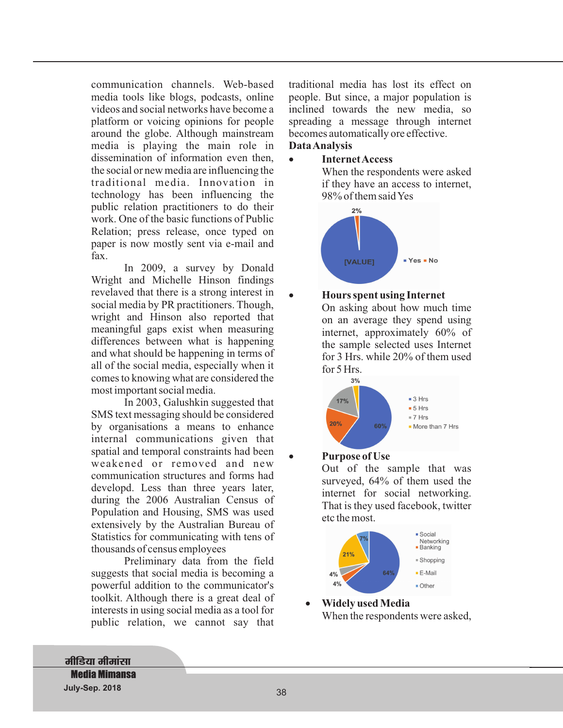communication channels. Web-based media tools like blogs, podcasts, online videos and social networks have become a platform or voicing opinions for people around the globe. Although mainstream media is playing the main role in dissemination of information even then, the social or new media are influencing the traditional media. Innovation in technology has been influencing the public relation practitioners to do their work. One of the basic functions of Public Relation; press release, once typed on paper is now mostly sent via e-mail and fax.

In 2009, a survey by Donald Wright and Michelle Hinson findings revelaved that there is a strong interest in social media by PR practitioners. Though, wright and Hinson also reported that meaningful gaps exist when measuring differences between what is happening and what should be happening in terms of all of the social media, especially when it comes to knowing what are considered the most important social media.

In 2003, Galushkin suggested that SMS text messaging should be considered by organisations a means to enhance internal communications given that spatial and temporal constraints had been weakened or removed and new communication structures and forms had developd. Less than three years later, during the 2006 Australian Census of Population and Housing, SMS was used extensively by the Australian Bureau of Statistics for communicating with tens of thousands of census employees

Preliminary data from the field suggests that social media is becoming a powerful addition to the communicator's toolkit. Although there is a great deal of interests in using social media as a tool for public relation, we cannot say that traditional media has lost its effect on people. But since, a major population is inclined towards the new media, so spreading a message through internet becomes automatically ore effective.

# **DataAnalysis**

·

·

#### **Internet Access** ·

When the respondents were asked if they have an access to internet, 98% of them saidYes



## **Hours spent using Internet**

On asking about how much time on an average they spend using internet, approximately 60% of the sample selected uses Internet for 3 Hrs. while 20% of them used for 5 Hrs.



## **Purpose of Use**

Out of the sample that was surveyed, 64% of them used the internet for social networking. That is they used facebook, twitter etc the most.



When the respondents were asked, **Widely used Media** ·

# **मीडिया मीमांसा Media Mimansa July-Sep. 2018** 39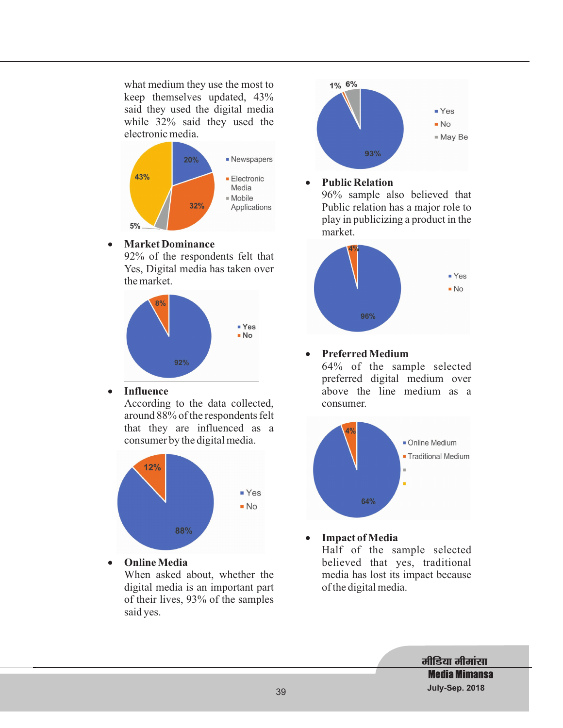what medium they use the most to keep themselves updated, 43% said they used the digital media while 32% said they used the electronic media.



#### · **Market Dominance**

92% of the respondents felt that Yes, Digital media has taken over the market.



· **Influence**

According to the data collected, around 88% of the respondents felt that they are influenced as a consumer by the digital media.



· **Online Media**

When asked about, whether the digital media is an important part of their lives, 93% of the samples said yes.



#### · **Public Relation**

96% sample also believed that Public relation has a major role to play in publicizing a product in the market.



#### · **Preferred Medium**

64% of the sample selected preferred digital medium over above the line medium as a consumer.



Half of the sample selected believed that yes, traditional media has lost its impact because **Impact of Media**

of the digital media.

·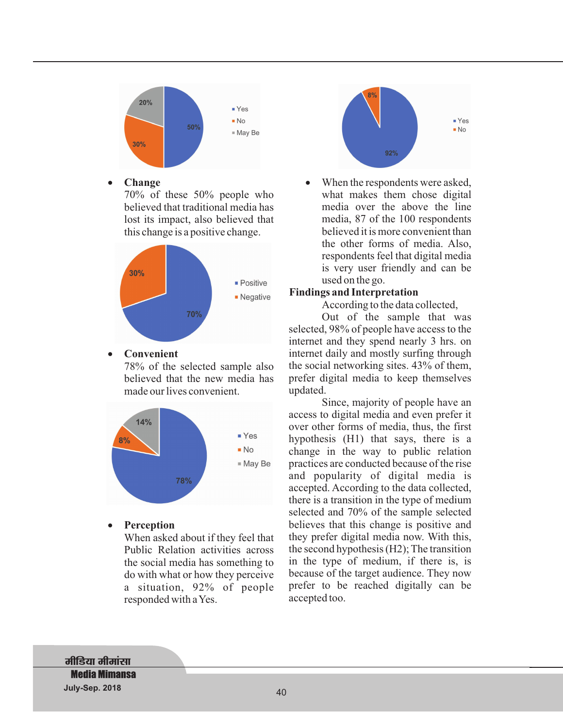

· **Change** ·

> 70% of these 50% people who believed that traditional media has lost its impact, also believed that this change is a positive change.



#### · **Convenient**

78% of the selected sample also believed that the new media has made our lives convenient.



· **Perception**

> When asked about if they feel that Public Relation activities across the social media has something to do with what or how they perceive a situation, 92% of people responded with aYes.



When the respondents were asked, what makes them chose digital media over the above the line media, 87 of the 100 respondents believed it is more convenient than the other forms of media. Also, respondents feel that digital media is very user friendly and can be used on the go.

### **Findings and Interpretation**

According to the data collected,

Out of the sample that was selected, 98% of people have access to the internet and they spend nearly 3 hrs. on internet daily and mostly surfing through the social networking sites. 43% of them, prefer digital media to keep themselves updated.

Since, majority of people have an access to digital media and even prefer it over other forms of media, thus, the first hypothesis (H1) that says, there is a change in the way to public relation practices are conducted because of the rise and popularity of digital media is accepted. According to the data collected, there is a transition in the type of medium selected and 70% of the sample selected believes that this change is positive and they prefer digital media now. With this, the second hypothesis (H2); The transition in the type of medium, if there is, is because of the target audience. They now prefer to be reached digitally can be accepted too.

**मीडिया मीमांसा Media Mimansa July-Sep. 2018** 41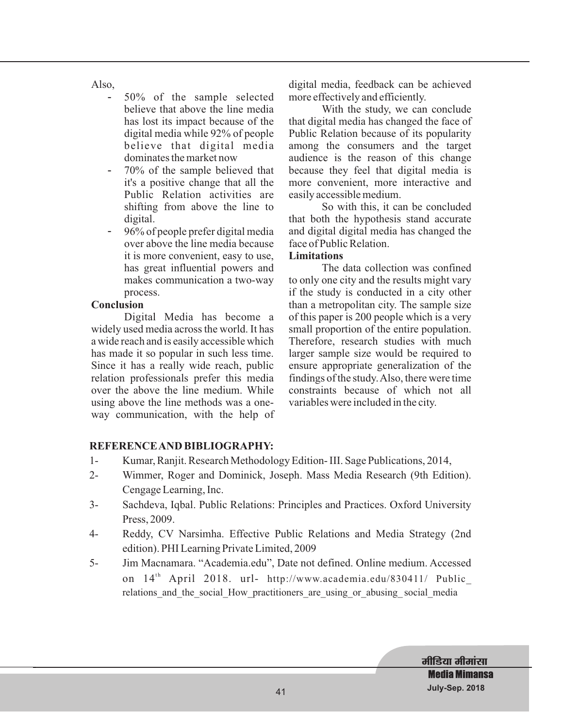Also,

- 50% of the sample selected believe that above the line media has lost its impact because of the digital media while 92% of people believe that digital media dominates the market now -
- 70% of the sample believed that it's a positive change that all the Public Relation activities are shifting from above the line to digital. -
- 96% of people prefer digital media over above the line media because it is more convenient, easy to use, has great influential powers and makes communication a two-way process. -

### **Conclusion**

Digital Media has become a widely used media across the world. It has a wide reach and is easily accessible which has made it so popular in such less time. Since it has a really wide reach, public relation professionals prefer this media over the above the line medium. While using above the line methods was a oneway communication, with the help of digital media, feedback can be achieved more effectively and efficiently.

With the study, we can conclude that digital media has changed the face of Public Relation because of its popularity among the consumers and the target audience is the reason of this change because they feel that digital media is more convenient, more interactive and easily accessible medium.

So with this, it can be concluded that both the hypothesis stand accurate and digital digital media has changed the face of Public Relation.

#### **Limitations**

The data collection was confined to only one city and the results might vary if the study is conducted in a city other than a metropolitan city. The sample size of this paper is 200 people which is a very small proportion of the entire population. Therefore, research studies with much larger sample size would be required to ensure appropriate generalization of the findings of the study.Also, there were time constraints because of which not all variables were included in the city.

## **REFERENCEAND BIBLIOGRAPHY:**

- 1- Kumar, Ranjit. Research Methodology Edition- III. Sage Publications, 2014,
- 2- Wimmer, Roger and Dominick, Joseph. Mass Media Research (9th Edition). Cengage Learning, Inc.
- 3- Sachdeva, Iqbal. Public Relations: Principles and Practices. Oxford University Press, 2009.
- 4- Reddy, CV Narsimha. Effective Public Relations and Media Strategy (2nd edition). PHI Learning Private Limited, 2009
- 5- Jim Macnamara. "Academia.edu", Date not defined. Online medium. Accessed on 14<sup>th</sup> April 2018. url- http://www.academia.edu/830411/ Public\_ relations and the social How practitioners are using or abusing social media